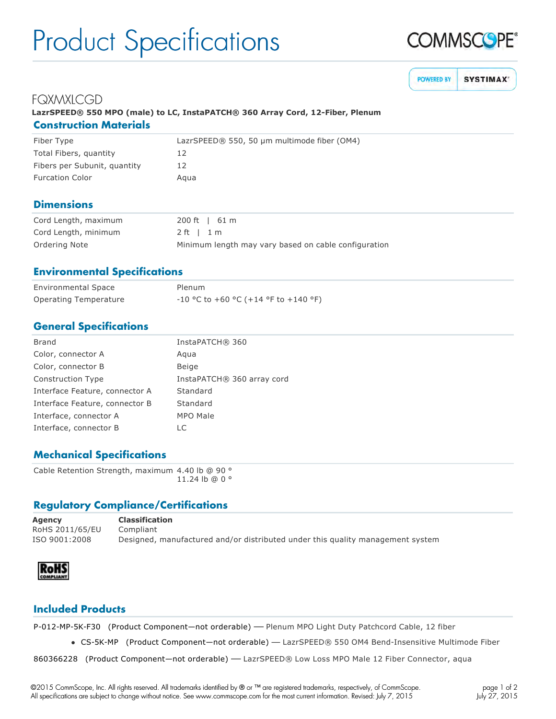# Product Specifications



**POWERED BY SYSTIMAX** 

# **FQXMXLCGD**

## **LazrSPEED® 550 MPO (male) to LC, InstaPATCH® 360 Array Cord, 12Fiber, Plenum Construction Materials**

| Fiber Type                   | LazrSPEED® 550, 50 µm multimode fiber (OM4) |
|------------------------------|---------------------------------------------|
| Total Fibers, quantity       | 12                                          |
| Fibers per Subunit, quantity | 12                                          |
| <b>Furcation Color</b>       | Agua                                        |

#### **Dimensions**

| Cord Length, maximum | 200 ft 1 61 m                                        |
|----------------------|------------------------------------------------------|
| Cord Length, minimum | 2ft l1m                                              |
| Ordering Note        | Minimum length may vary based on cable configuration |

#### **Environmental Specifications**

| <b>Environmental Space</b> | Plenum                                 |
|----------------------------|----------------------------------------|
| Operating Temperature      | $-10$ °C to +60 °C (+14 °F to +140 °F) |

### **General Specifications**

| <b>Brand</b>                   | InstaPATCH® 360            |
|--------------------------------|----------------------------|
| Color, connector A             | Aqua                       |
| Color, connector B             | Beige                      |
| <b>Construction Type</b>       | InstaPATCH® 360 array cord |
| Interface Feature, connector A | Standard                   |
| Interface Feature, connector B | Standard                   |
| Interface, connector A         | MPO Male                   |
| Interface, connector B         | LC                         |

## **Mechanical Specifications**

Cable Retention Strength, maximum 4.40 lb @ 90 ° 11.24 lb @ 0 °

#### **Regulatory Compliance/Certifications**

| Agency          | <b>Classification</b>                                                          |
|-----------------|--------------------------------------------------------------------------------|
| RoHS 2011/65/EU | Compliant                                                                      |
| ISO 9001:2008   | Designed, manufactured and/or distributed under this quality management system |



### **Included Products**

P-012-MP-5K-F30 (Product Component-not orderable) — Plenum MPO Light Duty Patchcord Cable, 12 fiber

• CS-5K-MP (Product Component—not orderable) — LazrSPEED® 550 OM4 Bend-Insensitive Multimode Fiber

860366228 (Product Component—not orderable) — LazrSPEED® Low Loss MPO Male 12 Fiber Connector, aqua